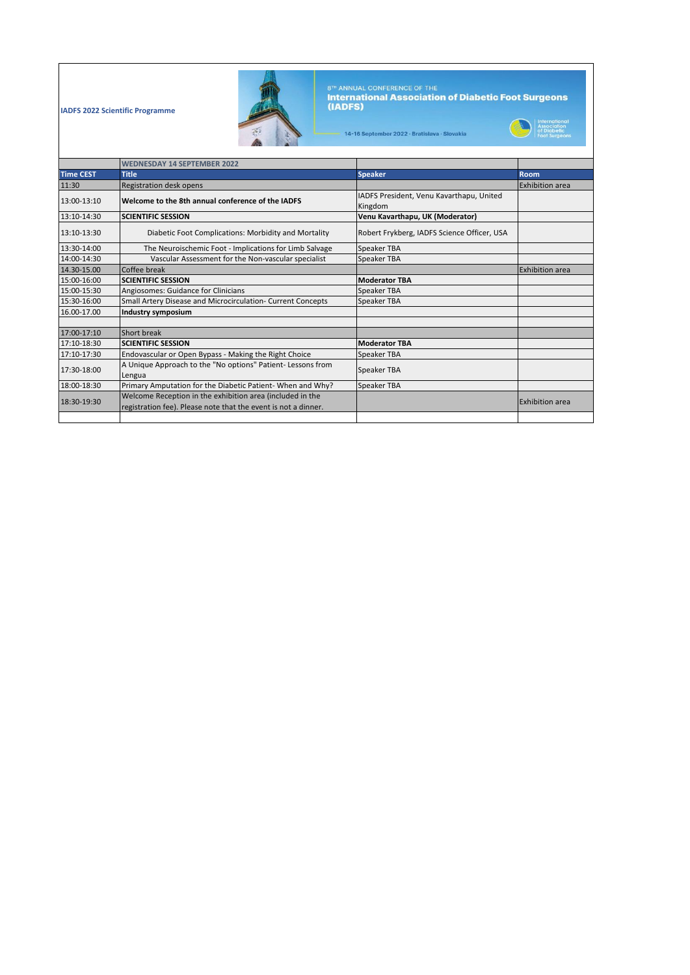**IADFS 2022 Scientific Programme** 



8™ ANNUAL CONFERENCE OF THE<br>**International Association of Diabetic Foot Surgeons**<br>**(IADFS)** 

International<br>Association<br>of Diabetic<br>Foot Surgeons

14-16 September 2022 · Bratislava · Slovakia

|                  | <b>WEDNESDAY 14 SEPTEMBER 2022</b>                                                                                          |                                                     |                        |
|------------------|-----------------------------------------------------------------------------------------------------------------------------|-----------------------------------------------------|------------------------|
| <b>Time CEST</b> | <b>Title</b>                                                                                                                | <b>Speaker</b>                                      | <b>Room</b>            |
| 11:30            | Registration desk opens                                                                                                     |                                                     | <b>Exhibition area</b> |
| 13:00-13:10      | Welcome to the 8th annual conference of the IADFS                                                                           | IADFS President, Venu Kavarthapu, United<br>Kingdom |                        |
| 13:10-14:30      | <b>SCIENTIFIC SESSION</b>                                                                                                   | Venu Kavarthapu, UK (Moderator)                     |                        |
| 13:10-13:30      | Diabetic Foot Complications: Morbidity and Mortality                                                                        | Robert Frykberg, IADFS Science Officer, USA         |                        |
| 13:30-14:00      | The Neuroischemic Foot - Implications for Limb Salvage                                                                      | Speaker TBA                                         |                        |
| 14:00-14:30      | Vascular Assessment for the Non-vascular specialist                                                                         | Speaker TBA                                         |                        |
| 14.30-15.00      | Coffee break                                                                                                                |                                                     | <b>Exhibition area</b> |
| 15:00-16:00      | <b>SCIENTIFIC SESSION</b>                                                                                                   | <b>Moderator TBA</b>                                |                        |
| 15:00-15:30      | Angiosomes: Guidance for Clinicians                                                                                         | <b>Speaker TBA</b>                                  |                        |
| 15:30-16:00      | Small Artery Disease and Microcirculation- Current Concepts                                                                 | Speaker TBA                                         |                        |
| 16.00-17.00      | <b>Industry symposium</b>                                                                                                   |                                                     |                        |
| 17:00-17:10      | Short break                                                                                                                 |                                                     |                        |
| 17:10-18:30      | <b>SCIENTIFIC SESSION</b>                                                                                                   | <b>Moderator TBA</b>                                |                        |
| 17:10-17:30      | Endovascular or Open Bypass - Making the Right Choice                                                                       | Speaker TBA                                         |                        |
| 17:30-18:00      | A Unique Approach to the "No options" Patient-Lessons from<br>Lengua                                                        | Speaker TBA                                         |                        |
| 18:00-18:30      | Primary Amputation for the Diabetic Patient- When and Why?                                                                  | <b>Speaker TBA</b>                                  |                        |
| 18:30-19:30      | Welcome Reception in the exhibition area (included in the<br>registration fee). Please note that the event is not a dinner. |                                                     | <b>Exhibition area</b> |